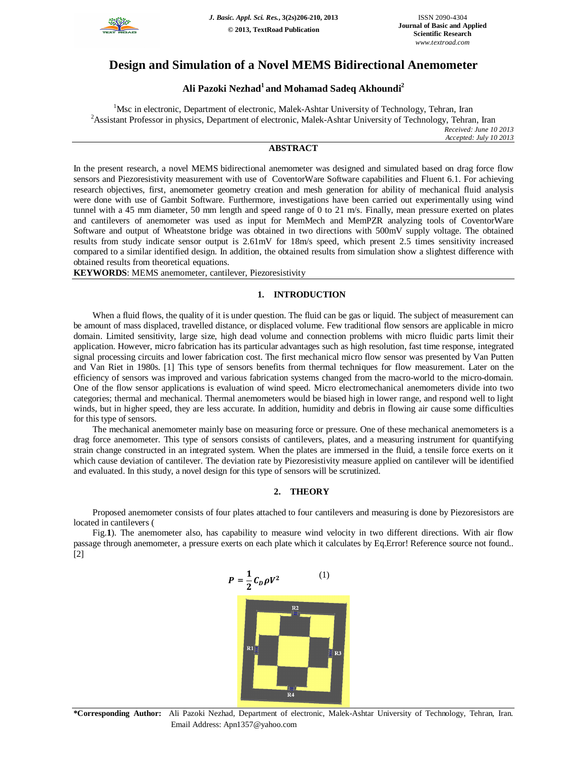

# **Design and Simulation of a Novel MEMS Bidirectional Anemometer**

## **Ali Pazoki Nezhad<sup>1</sup>and Mohamad Sadeq Akhoundi<sup>2</sup>**

<sup>1</sup>Msc in electronic, Department of electronic, Malek-Ashtar University of Technology, Tehran, Iran <sup>2</sup>Assistant Professor in physics, Department of electronic, Malek-Ashtar University of Technology, Tehran, Iran *Received: June 10 2013 Accepted: July 10 2013*

## **ABSTRACT**

In the present research, a novel MEMS bidirectional anemometer was designed and simulated based on drag force flow sensors and Piezoresistivity measurement with use of CoventorWare Software capabilities and Fluent 6.1. For achieving research objectives, first, anemometer geometry creation and mesh generation for ability of mechanical fluid analysis were done with use of Gambit Software. Furthermore, investigations have been carried out experimentally using wind tunnel with a 45 mm diameter, 50 mm length and speed range of 0 to 21 m/s. Finally, mean pressure exerted on plates and cantilevers of anemometer was used as input for MemMech and MemPZR analyzing tools of CoventorWare Software and output of Wheatstone bridge was obtained in two directions with 500mV supply voltage. The obtained results from study indicate sensor output is 2.61mV for 18m/s speed, which present 2.5 times sensitivity increased compared to a similar identified design. In addition, the obtained results from simulation show a slightest difference with obtained results from theoretical equations.

**KEYWORDS**: MEMS anemometer, cantilever, Piezoresistivity

### **1. INTRODUCTION**

When a fluid flows, the quality of it is under question. The fluid can be gas or liquid. The subject of measurement can be amount of mass displaced, travelled distance, or displaced volume. Few traditional flow sensors are applicable in micro domain. Limited sensitivity, large size, high dead volume and connection problems with micro fluidic parts limit their application. However, micro fabrication has its particular advantages such as high resolution, fast time response, integrated signal processing circuits and lower fabrication cost. The first mechanical micro flow sensor was presented by Van Putten and Van Riet in 1980s. [1] This type of sensors benefits from thermal techniques for flow measurement. Later on the efficiency of sensors was improved and various fabrication systems changed from the macro-world to the micro-domain. One of the flow sensor applications is evaluation of wind speed. Micro electromechanical anemometers divide into two categories; thermal and mechanical. Thermal anemometers would be biased high in lower range, and respond well to light winds, but in higher speed, they are less accurate. In addition, humidity and debris in flowing air cause some difficulties for this type of sensors.

The mechanical anemometer mainly base on measuring force or pressure. One of these mechanical anemometers is a drag force anemometer. This type of sensors consists of cantilevers, plates, and a measuring instrument for quantifying strain change constructed in an integrated system. When the plates are immersed in the fluid, a tensile force exerts on it which cause deviation of cantilever. The deviation rate by Piezoresistivity measure applied on cantilever will be identified and evaluated. In this study, a novel design for this type of sensors will be scrutinized.

### **2. THEORY**

Proposed anemometer consists of four plates attached to four cantilevers and measuring is done by Piezoresistors are located in cantilevers (

Fig.**1**). The anemometer also, has capability to measure wind velocity in two different directions. With air flow passage through anemometer, a pressure exerts on each plate which it calculates by Eq.Error! Reference source not found.. [2]

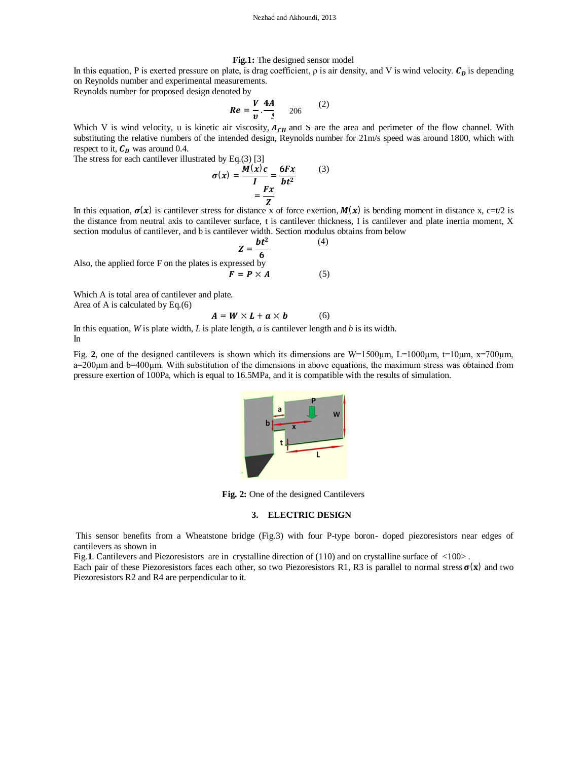#### **Fig.1:** The designed sensor model

In this equation, P is exerted pressure on plate, is drag coefficient,  $\rho$  is air density, and V is wind velocity.  $C_D$  is depending on Reynolds number and experimental measurements.

Reynolds number for proposed design denoted by

$$
Re = \frac{V}{v} \cdot \frac{4A}{t} \qquad 206 \qquad (2)
$$

Which V is wind velocity, u is kinetic air viscosity,  $A_{CH}$  and S are the area and perimeter of the flow channel. With substituting the relative numbers of the intended design, Reynolds number for 21m/s speed was around 1800, which with respect to it,  $C<sub>D</sub>$  was around 0.4.

The stress for each cantilever illustrated by Eq.(3) [3]

$$
\sigma(x) = \frac{M(x)c}{I} = \frac{6Fx}{bt^2}
$$
 (3)  
=  $\frac{Fx}{Z}$ 

In this equation,  $\sigma(x)$  is cantilever stress for distance x of force exertion,  $M(x)$  is bending moment in distance x, c=t/2 is the distance from neutral axis to cantilever surface, t is cantilever thickness, I is cantilever and plate inertia moment, X section modulus of cantilever, and b is cantilever width. Section modulus obtains from below

$$
Z = \frac{bt^2}{6}
$$
 (4)  
Also, the applied force F on the plates is expressed by  

$$
F = P \times A
$$
 (5)

Which A is total area of cantilever and plate.

Area of A is calculated by Eq.(6)

$$
A = W \times L + a \times b \tag{6}
$$

In this equation, *W* is plate width, *L* is plate length, *a* is cantilever length and *b* is its width. In

Fig. 2, one of the designed cantilevers is shown which its dimensions are W=1500 $\mu$ m, L=1000 $\mu$ m, t=10 $\mu$ m, x=700 $\mu$ m, a=200µm and b=400µm. With substitution of the dimensions in above equations, the maximum stress was obtained from pressure exertion of 100Pa, which is equal to 16.5MPa, and it is compatible with the results of simulation.



**Fig. 2:** One of the designed Cantilevers

#### **3. ELECTRIC DESIGN**

This sensor benefits from a Wheatstone bridge (Fig.3) with four P-type boron- doped piezoresistors near edges of cantilevers as shown in

Fig.1. Cantilevers and Piezoresistors are in crystalline direction of  $(110)$  and on crystalline surface of  $\langle 100 \rangle$ .

Each pair of these Piezoresistors faces each other, so two Piezoresistors R1, R3 is parallel to normal stress  $\sigma(x)$  and two Piezoresistors R2 and R4 are perpendicular to it.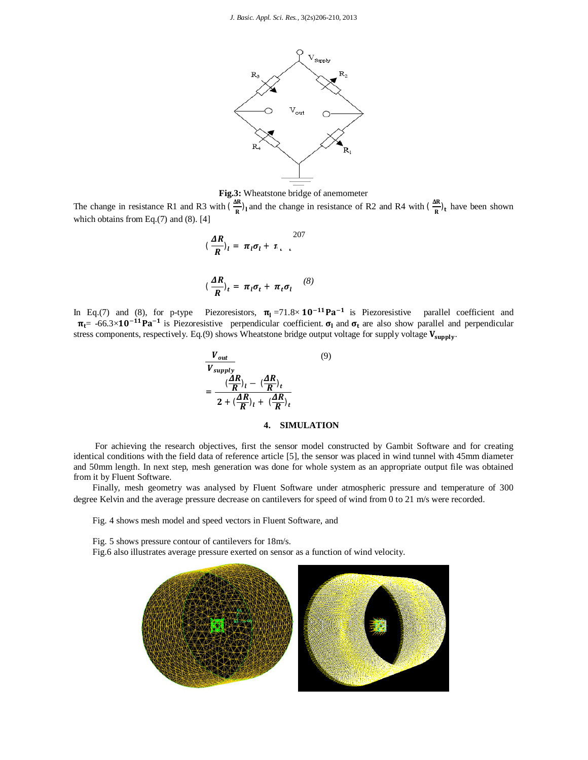

**Fig.3:** Wheatstone bridge of anemometer

The change in resistance R1 and R3 with  $(\frac{AR}{R})$  $\frac{\Delta R}{R}$ )<sub>l</sub> and the change in resistance of R2 and R4 with ( $\frac{\Delta R}{R}$ )  $\frac{dE}{dt}$ <sub>t</sub> have been shown which obtains from Eq.(7) and (8). [4]

$$
(\frac{\Delta R}{R})_l = \pi_l \sigma_l + \pi_{l-l} \tag{8}
$$

$$
(\frac{\Delta R}{R})_t = \pi_l \sigma_t + \pi_t \sigma_l \tag{8}
$$

In Eq.(7) and (8), for p-type Piezoresistors,  $\pi_1 = 71.8 \times 10^{-11} \text{Pa}^{-1}$  is Piezoresistive parallel coefficient and  $\pi_{t}$ = -66.3×10<sup>-11</sup>Pa<sup>-1</sup> is Piezoresistive perpendicular coefficient.  $\sigma_1$  and  $\sigma_t$  are also show parallel and perpendicular stress components, respectively. Eq.(9) shows Wheatstone bridge output voltage for supply voltage  $V_{\text{supply}}$ .

$$
\frac{V_{out}}{V_{supply}}
$$
\n
$$
= \frac{\left(\frac{AR}{R}\right)_l - \left(\frac{AR}{R}\right)_l}{2 + \left(\frac{AR}{R}\right)_l + \left(\frac{AR}{R}\right)_l}
$$
\n(9)

#### **4. SIMULATION**

For achieving the research objectives, first the sensor model constructed by Gambit Software and for creating identical conditions with the field data of reference article [5], the sensor was placed in wind tunnel with 45mm diameter and 50mm length. In next step, mesh generation was done for whole system as an appropriate output file was obtained from it by Fluent Software.

Finally, mesh geometry was analysed by Fluent Software under atmospheric pressure and temperature of 300 degree Kelvin and the average pressure decrease on cantilevers for speed of wind from 0 to 21 m/s were recorded.

Fig. 4 shows mesh model and speed vectors in Fluent Software, and

Fig. 5 shows pressure contour of cantilevers for 18m/s.

Fig.6 also illustrates average pressure exerted on sensor as a function of wind velocity.

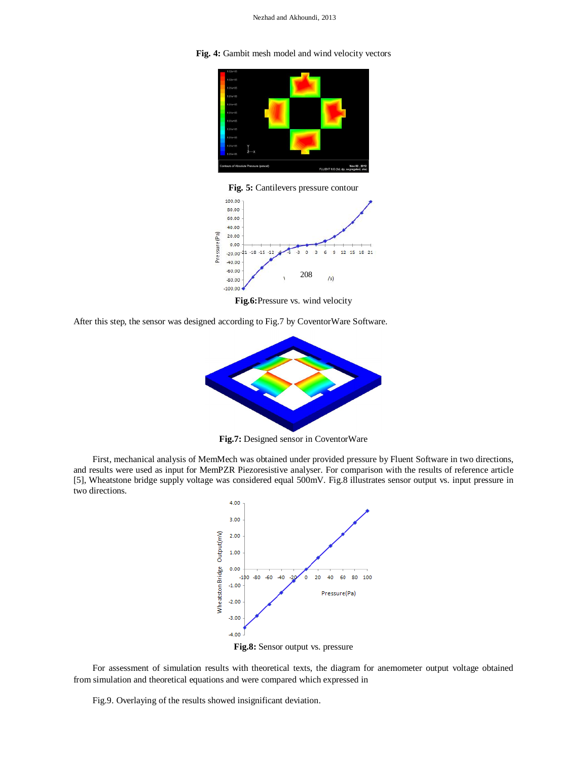**Fig. 4:** Gambit mesh model and wind velocity vectors



**Fig. 5:** Cantilevers pressure contour



**Fig.6:**Pressure vs. wind velocity

After this step, the sensor was designed according to Fig.7 by CoventorWare Software.



**Fig.7:** Designed sensor in CoventorWare

First, mechanical analysis of MemMech was obtained under provided pressure by Fluent Software in two directions, and results were used as input for MemPZR Piezoresistive analyser. For comparison with the results of reference article [5], Wheatstone bridge supply voltage was considered equal 500mV. Fig.8 illustrates sensor output vs. input pressure in two directions.



For assessment of simulation results with theoretical texts, the diagram for anemometer output voltage obtained from simulation and theoretical equations and were compared which expressed in

Fig.9. Overlaying of the results showed insignificant deviation.